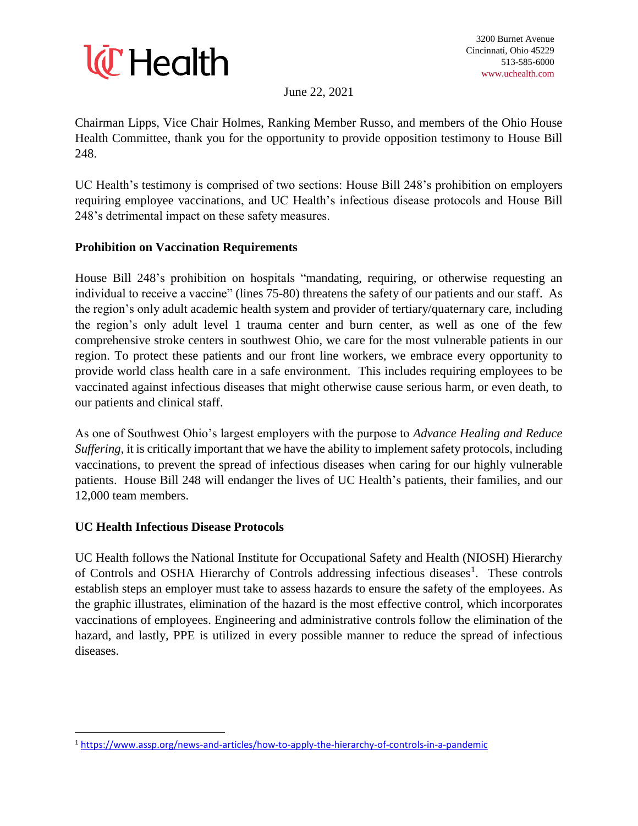

June 22, 2021

Chairman Lipps, Vice Chair Holmes, Ranking Member Russo, and members of the Ohio House Health Committee, thank you for the opportunity to provide opposition testimony to House Bill 248.

UC Health's testimony is comprised of two sections: House Bill 248's prohibition on employers requiring employee vaccinations, and UC Health's infectious disease protocols and House Bill 248's detrimental impact on these safety measures.

## **Prohibition on Vaccination Requirements**

House Bill 248's prohibition on hospitals "mandating, requiring, or otherwise requesting an individual to receive a vaccine" (lines 75-80) threatens the safety of our patients and our staff. As the region's only adult academic health system and provider of tertiary/quaternary care, including the region's only adult level 1 trauma center and burn center, as well as one of the few comprehensive stroke centers in southwest Ohio, we care for the most vulnerable patients in our region. To protect these patients and our front line workers, we embrace every opportunity to provide world class health care in a safe environment. This includes requiring employees to be vaccinated against infectious diseases that might otherwise cause serious harm, or even death, to our patients and clinical staff.

As one of Southwest Ohio's largest employers with the purpose to *Advance Healing and Reduce Suffering*, it is critically important that we have the ability to implement safety protocols, including vaccinations, to prevent the spread of infectious diseases when caring for our highly vulnerable patients. House Bill 248 will endanger the lives of UC Health's patients, their families, and our 12,000 team members.

## **UC Health Infectious Disease Protocols**

 $\overline{\phantom{a}}$ 

UC Health follows the National Institute for Occupational Safety and Health (NIOSH) Hierarchy of Controls and OSHA Hierarchy of Controls addressing infectious diseases<sup>1</sup>. These controls establish steps an employer must take to assess hazards to ensure the safety of the employees. As the graphic illustrates, elimination of the hazard is the most effective control, which incorporates vaccinations of employees. Engineering and administrative controls follow the elimination of the hazard, and lastly, PPE is utilized in every possible manner to reduce the spread of infectious diseases.

<sup>1</sup> <https://www.assp.org/news-and-articles/how-to-apply-the-hierarchy-of-controls-in-a-pandemic>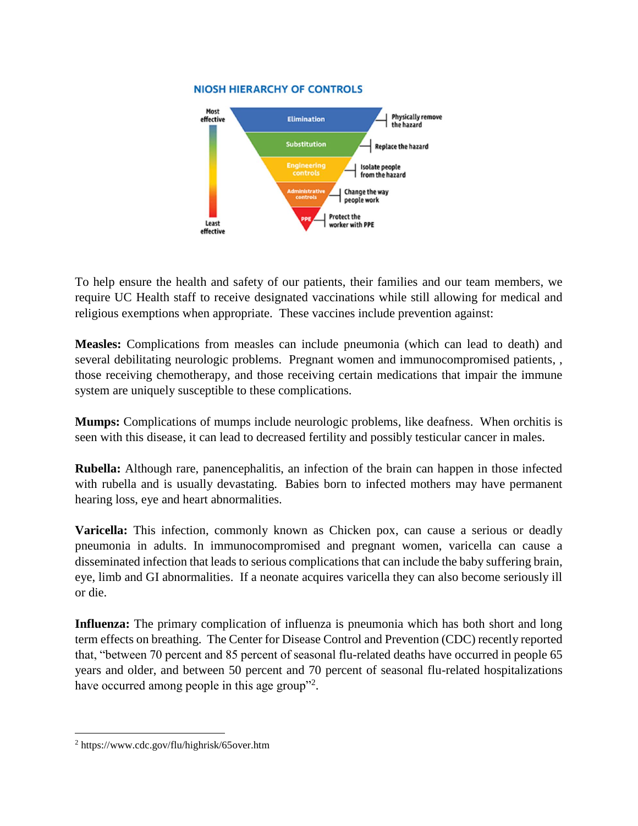## **NIOSH HIERARCHY OF CONTROLS**



To help ensure the health and safety of our patients, their families and our team members, we require UC Health staff to receive designated vaccinations while still allowing for medical and religious exemptions when appropriate. These vaccines include prevention against:

**Measles:** Complications from measles can include pneumonia (which can lead to death) and several debilitating neurologic problems. Pregnant women and immunocompromised patients, , those receiving chemotherapy, and those receiving certain medications that impair the immune system are uniquely susceptible to these complications.

**Mumps:** Complications of mumps include neurologic problems, like deafness. When orchitis is seen with this disease, it can lead to decreased fertility and possibly testicular cancer in males.

**Rubella:** Although rare, panencephalitis, an infection of the brain can happen in those infected with rubella and is usually devastating. Babies born to infected mothers may have permanent hearing loss, eye and heart abnormalities.

**Varicella:** This infection, commonly known as Chicken pox, can cause a serious or deadly pneumonia in adults. In immunocompromised and pregnant women, varicella can cause a disseminated infection that leads to serious complications that can include the baby suffering brain, eye, limb and GI abnormalities. If a neonate acquires varicella they can also become seriously ill or die.

**Influenza:** The primary complication of influenza is pneumonia which has both short and long term effects on breathing. The Center for Disease Control and Prevention (CDC) recently reported that, "between 70 percent and 85 percent of seasonal flu-related deaths have occurred in people 65 years and older, and between 50 percent and 70 percent of seasonal flu-related hospitalizations have occurred among people in this age group"<sup>2</sup>.

 $\overline{\phantom{a}}$ 

<sup>2</sup> https://www.cdc.gov/flu/highrisk/65over.htm